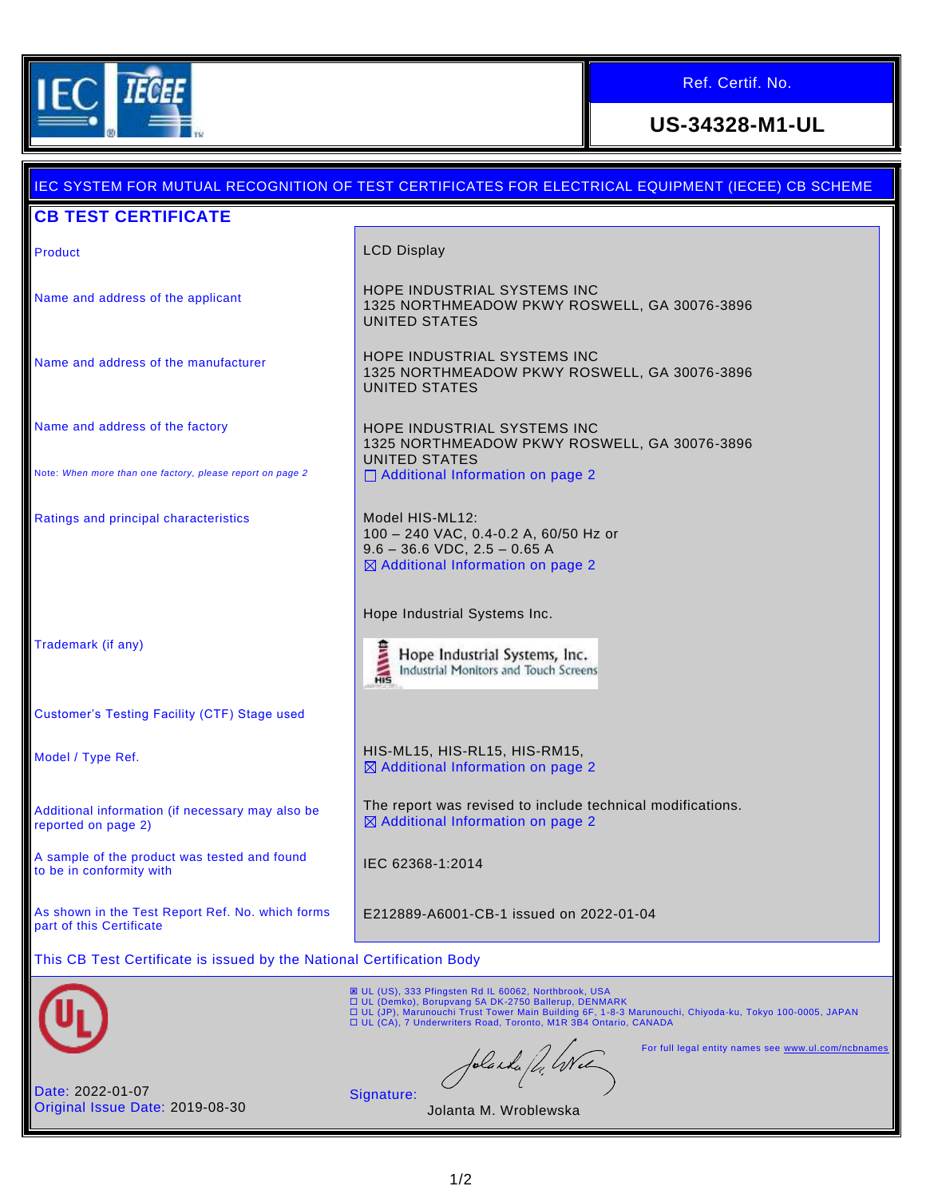

Ref. Certif. No.

# **US-34328-M1-UL**

|                                                                              | <u>IEC SYSTEM FOR MUTUAL RECOGNITION OF TEST CERTIFICATES FOR ELECTRICAL EQUIPMENT (IECEE) CB SCHEME</u>                                                                                                                                                                                            |
|------------------------------------------------------------------------------|-----------------------------------------------------------------------------------------------------------------------------------------------------------------------------------------------------------------------------------------------------------------------------------------------------|
| <b>CB TEST CERTIFICATE</b>                                                   |                                                                                                                                                                                                                                                                                                     |
| Product                                                                      | <b>LCD Display</b>                                                                                                                                                                                                                                                                                  |
| Name and address of the applicant                                            | HOPE INDUSTRIAL SYSTEMS INC<br>1325 NORTHMEADOW PKWY ROSWELL, GA 30076-3896<br><b>UNITED STATES</b>                                                                                                                                                                                                 |
| Name and address of the manufacturer                                         | HOPE INDUSTRIAL SYSTEMS INC<br>1325 NORTHMEADOW PKWY ROSWELL, GA 30076-3896<br><b>UNITED STATES</b>                                                                                                                                                                                                 |
| Name and address of the factory                                              | HOPE INDUSTRIAL SYSTEMS INC<br>1325 NORTHMEADOW PKWY ROSWELL, GA 30076-3896<br><b>UNITED STATES</b>                                                                                                                                                                                                 |
| Note: When more than one factory, please report on page 2                    | □ Additional Information on page 2                                                                                                                                                                                                                                                                  |
| Ratings and principal characteristics                                        | Model HIS-ML12:<br>100 - 240 VAC, 0.4-0.2 A, 60/50 Hz or<br>$9.6 - 36.6$ VDC, $2.5 - 0.65$ A<br>⊠ Additional Information on page 2                                                                                                                                                                  |
|                                                                              | Hope Industrial Systems Inc.                                                                                                                                                                                                                                                                        |
| Trademark (if any)                                                           | HANNIB<br>Hope Industrial Systems, Inc.<br>Industrial Monitors and Touch Screens                                                                                                                                                                                                                    |
| <b>Customer's Testing Facility (CTF) Stage used</b>                          |                                                                                                                                                                                                                                                                                                     |
| Model / Type Ref.                                                            | HIS-ML15, HIS-RL15, HIS-RM15,<br>⊠ Additional Information on page 2                                                                                                                                                                                                                                 |
| Additional information (if necessary may also be<br>reported on page 2)      | The report was revised to include technical modifications.<br>⊠ Additional Information on page 2                                                                                                                                                                                                    |
| A sample of the product was tested and found<br>to be in conformity with     | IEC 62368-1:2014                                                                                                                                                                                                                                                                                    |
| As shown in the Test Report Ref. No. which forms<br>part of this Certificate | E212889-A6001-CB-1 issued on 2022-01-04                                                                                                                                                                                                                                                             |
| This CB Test Certificate is issued by the National Certification Body        |                                                                                                                                                                                                                                                                                                     |
|                                                                              | <b>E UL (US), 333 Pfingsten Rd IL 60062, Northbrook, USA</b><br>□ UL (Demko), Borupvang 5A DK-2750 Ballerup, DENMARK<br>□ UL (JP), Marunouchi Trust Tower Main Building 6F, 1-8-3 Marunouchi, Chiyoda-ku, Tokyo 100-0005, JAPAN<br>□ UL (CA), 7 Underwriters Road, Toronto, M1R 3B4 Ontario, CANADA |
|                                                                              | For full legal entity names see www.ul.com/ncbnames<br>folanda fl. Wel                                                                                                                                                                                                                              |
| Date: 2022-01-07<br>Original Issue Date: 2019-08-30                          | Signature:<br>Jolanta M. Wroblewska                                                                                                                                                                                                                                                                 |